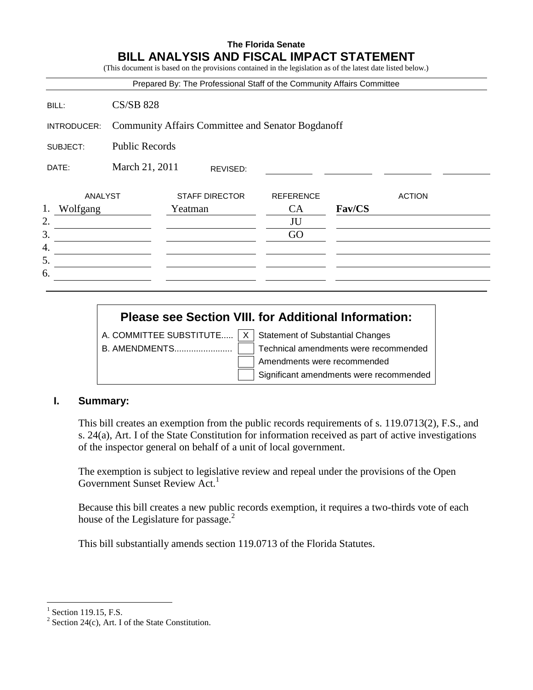# **The Florida Senate BILL ANALYSIS AND FISCAL IMPACT STATEMENT**

(This document is based on the provisions contained in the legislation as of the latest date listed below.)

|                |                                                          | Prepared By: The Professional Staff of the Community Affairs Committee |                  |        |               |  |
|----------------|----------------------------------------------------------|------------------------------------------------------------------------|------------------|--------|---------------|--|
| BILL:          | <b>CS/SB 828</b>                                         |                                                                        |                  |        |               |  |
| INTRODUCER:    | <b>Community Affairs Committee and Senator Bogdanoff</b> |                                                                        |                  |        |               |  |
| SUBJECT:       | <b>Public Records</b>                                    |                                                                        |                  |        |               |  |
| DATE:          | March 21, 2011                                           | REVISED:                                                               |                  |        |               |  |
| ANALYST        |                                                          | <b>STAFF DIRECTOR</b>                                                  | <b>REFERENCE</b> |        | <b>ACTION</b> |  |
| 1.<br>Wolfgang |                                                          | Yeatman                                                                | CA               | Fav/CS |               |  |
| 2.             |                                                          |                                                                        | JU               |        |               |  |
| 3.             |                                                          |                                                                        | GO               |        |               |  |
| 4.             |                                                          |                                                                        |                  |        |               |  |
| 5.             |                                                          |                                                                        |                  |        |               |  |
| 6.             |                                                          |                                                                        |                  |        |               |  |

|  | <b>Please see Section VIII. for Additional Information:</b>              |
|--|--------------------------------------------------------------------------|
|  | A. COMMITTEE SUBSTITUTE $\vert x \vert$ Statement of Substantial Changes |
|  | Technical amendments were recommended                                    |
|  | Amendments were recommended                                              |
|  | Significant amendments were recommended                                  |

#### **I. Summary:**

This bill creates an exemption from the public records requirements of s. 119.0713(2), F.S., and s. 24(a), Art. I of the State Constitution for information received as part of active investigations of the inspector general on behalf of a unit of local government.

The exemption is subject to legislative review and repeal under the provisions of the Open Government Sunset Review Act.<sup>1</sup>

Because this bill creates a new public records exemption, it requires a two-thirds vote of each house of the Legislature for passage.<sup>2</sup>

This bill substantially amends section 119.0713 of the Florida Statutes.

 $<sup>1</sup>$  Section 119.15, F.S.</sup>

<sup>&</sup>lt;sup>2</sup> Section 24(c), Art. I of the State Constitution.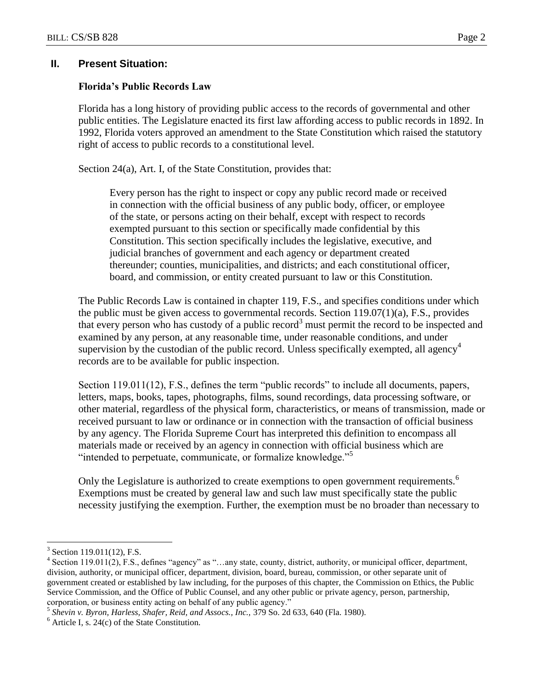## **II. Present Situation:**

### **Florida's Public Records Law**

Florida has a long history of providing public access to the records of governmental and other public entities. The Legislature enacted its first law affording access to public records in 1892. In 1992, Florida voters approved an amendment to the State Constitution which raised the statutory right of access to public records to a constitutional level.

Section 24(a), Art. I, of the State Constitution, provides that:

Every person has the right to inspect or copy any public record made or received in connection with the official business of any public body, officer, or employee of the state, or persons acting on their behalf, except with respect to records exempted pursuant to this section or specifically made confidential by this Constitution. This section specifically includes the legislative, executive, and judicial branches of government and each agency or department created thereunder; counties, municipalities, and districts; and each constitutional officer, board, and commission, or entity created pursuant to law or this Constitution.

The Public Records Law is contained in chapter 119, F.S., and specifies conditions under which the public must be given access to governmental records. Section 119.07(1)(a), F.S., provides that every person who has custody of a public record<sup>3</sup> must permit the record to be inspected and examined by any person, at any reasonable time, under reasonable conditions, and under supervision by the custodian of the public record. Unless specifically exempted, all agency<sup>4</sup> records are to be available for public inspection.

Section 119.011(12), F.S., defines the term "public records" to include all documents, papers, letters, maps, books, tapes, photographs, films, sound recordings, data processing software, or other material, regardless of the physical form, characteristics, or means of transmission, made or received pursuant to law or ordinance or in connection with the transaction of official business by any agency. The Florida Supreme Court has interpreted this definition to encompass all materials made or received by an agency in connection with official business which are "intended to perpetuate, communicate, or formalize knowledge."<sup>5</sup>

Only the Legislature is authorized to create exemptions to open government requirements.<sup>6</sup> Exemptions must be created by general law and such law must specifically state the public necessity justifying the exemption. Further, the exemption must be no broader than necessary to

<sup>&</sup>lt;sup>3</sup> Section 119.011(12), F.S.

 $4$  Section 119.011(2), F.S., defines "agency" as "...any state, county, district, authority, or municipal officer, department, division, authority, or municipal officer, department, division, board, bureau, commission, or other separate unit of government created or established by law including, for the purposes of this chapter, the Commission on Ethics, the Public Service Commission, and the Office of Public Counsel, and any other public or private agency, person, partnership, corporation, or business entity acting on behalf of any public agency."

<sup>5</sup> *Shevin v. Byron, Harless, Shafer, Reid, and Assocs., Inc.,* 379 So. 2d 633, 640 (Fla. 1980).

 $<sup>6</sup>$  Article I, s. 24(c) of the State Constitution.</sup>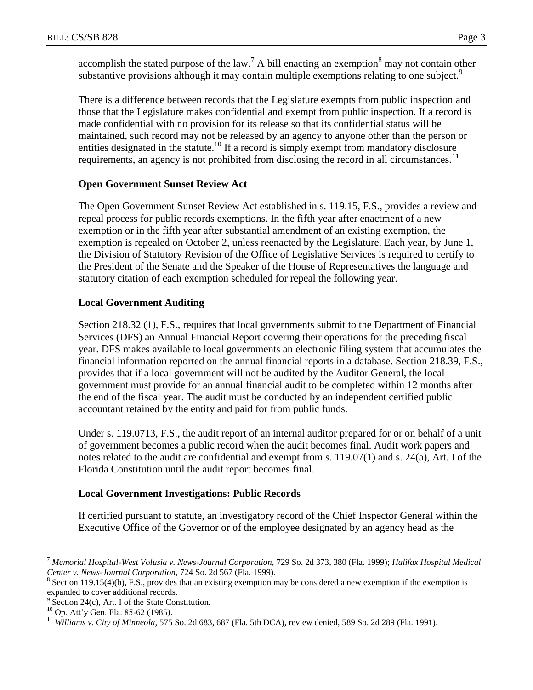accomplish the stated purpose of the law.<sup>7</sup> A bill enacting an exemption<sup>8</sup> may not contain other substantive provisions although it may contain multiple exemptions relating to one subject.<sup>9</sup>

There is a difference between records that the Legislature exempts from public inspection and those that the Legislature makes confidential and exempt from public inspection. If a record is made confidential with no provision for its release so that its confidential status will be maintained, such record may not be released by an agency to anyone other than the person or entities designated in the statute.<sup>10</sup> If a record is simply exempt from mandatory disclosure requirements, an agency is not prohibited from disclosing the record in all circumstances.<sup>11</sup>

## **Open Government Sunset Review Act**

The Open Government Sunset Review Act established in s. 119.15, F.S., provides a review and repeal process for public records exemptions. In the fifth year after enactment of a new exemption or in the fifth year after substantial amendment of an existing exemption, the exemption is repealed on October 2, unless reenacted by the Legislature. Each year, by June 1, the Division of Statutory Revision of the Office of Legislative Services is required to certify to the President of the Senate and the Speaker of the House of Representatives the language and statutory citation of each exemption scheduled for repeal the following year.

## **Local Government Auditing**

Section 218.32 (1), F.S., requires that local governments submit to the Department of Financial Services (DFS) an Annual Financial Report covering their operations for the preceding fiscal year. DFS makes available to local governments an electronic filing system that accumulates the financial information reported on the annual financial reports in a database. Section 218.39, F.S., provides that if a local government will not be audited by the Auditor General, the local government must provide for an annual financial audit to be completed within 12 months after the end of the fiscal year. The audit must be conducted by an independent certified public accountant retained by the entity and paid for from public funds.

Under s. 119.0713, F.S., the audit report of an internal auditor prepared for or on behalf of a unit of government becomes a public record when the audit becomes final. Audit work papers and notes related to the audit are confidential and exempt from s. 119.07(1) and s. 24(a), Art. I of the Florida Constitution until the audit report becomes final.

# **Local Government Investigations: Public Records**

If certified pursuant to statute, an investigatory record of the Chief Inspector General within the Executive Office of the Governor or of the employee designated by an agency head as the

<sup>7</sup> *Memorial Hospital-West Volusia v. News-Journal Corporation,* 729 So. 2d 373, 380 (Fla. 1999); *Halifax Hospital Medical Center v. News-Journal Corporation,* 724 So. 2d 567 (Fla. 1999).

 $8$  Section 119.15(4)(b), F.S., provides that an existing exemption may be considered a new exemption if the exemption is expanded to cover additional records.

<sup>9</sup> Section 24(c), Art. I of the State Constitution.

<sup>&</sup>lt;sup>10</sup> Op. Att'y Gen. Fla. 85-62 (1985).

<sup>11</sup> *Williams v. City of Minneola,* 575 So. 2d 683, 687 (Fla. 5th DCA), review denied, 589 So. 2d 289 (Fla. 1991).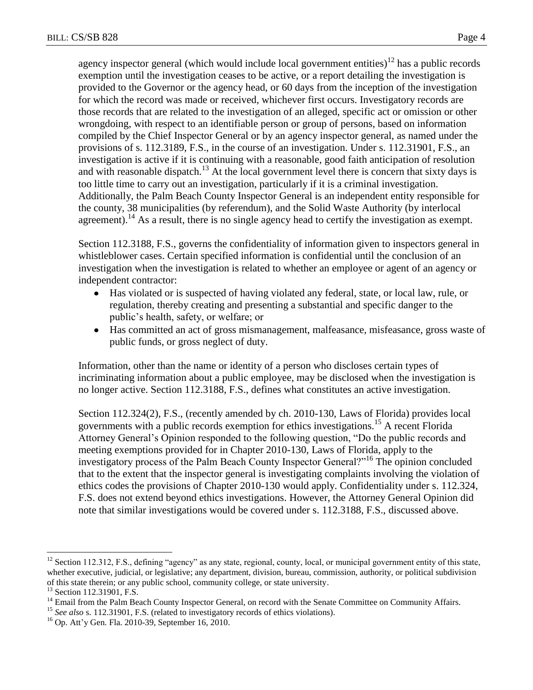agency inspector general (which would include local government entities)<sup>12</sup> has a public records exemption until the investigation ceases to be active, or a report detailing the investigation is provided to the Governor or the agency head, or 60 days from the inception of the investigation for which the record was made or received, whichever first occurs. Investigatory records are those records that are related to the investigation of an alleged, specific act or omission or other wrongdoing, with respect to an identifiable person or group of persons, based on information compiled by the Chief Inspector General or by an agency inspector general, as named under the provisions of s. 112.3189, F.S., in the course of an investigation. Under s. 112.31901, F.S., an investigation is active if it is continuing with a reasonable, good faith anticipation of resolution and with reasonable dispatch.<sup>13</sup> At the local government level there is concern that sixty days is too little time to carry out an investigation, particularly if it is a criminal investigation. Additionally, the Palm Beach County Inspector General is an independent entity responsible for the county, 38 municipalities (by referendum), and the Solid Waste Authority (by interlocal agreement).<sup>14</sup> As a result, there is no single agency head to certify the investigation as exempt.

Section 112.3188, F.S., governs the confidentiality of information given to inspectors general in whistleblower cases. Certain specified information is confidential until the conclusion of an investigation when the investigation is related to whether an employee or agent of an agency or independent contractor:

- Has violated or is suspected of having violated any federal, state, or local law, rule, or regulation, thereby creating and presenting a substantial and specific danger to the public's health, safety, or welfare; or
- Has committed an act of gross mismanagement, malfeasance, misfeasance, gross waste of  $\bullet$ public funds, or gross neglect of duty.

Information, other than the name or identity of a person who discloses certain types of incriminating information about a public employee, may be disclosed when the investigation is no longer active. Section 112.3188, F.S., defines what constitutes an active investigation.

Section 112.324(2), F.S., (recently amended by ch. 2010-130, Laws of Florida) provides local governments with a public records exemption for ethics investigations.<sup>15</sup> A recent Florida Attorney General's Opinion responded to the following question, "Do the public records and meeting exemptions provided for in Chapter 2010-130, Laws of Florida, apply to the investigatory process of the Palm Beach County Inspector General?"<sup>16</sup> The opinion concluded that to the extent that the inspector general is investigating complaints involving the violation of ethics codes the provisions of Chapter 2010-130 would apply. Confidentiality under s. 112.324, F.S. does not extend beyond ethics investigations. However, the Attorney General Opinion did note that similar investigations would be covered under s. 112.3188, F.S., discussed above.

<sup>&</sup>lt;sup>12</sup> Section 112.312, F.S., defining "agency" as any state, regional, county, local, or municipal government entity of this state, whether executive, judicial, or legislative; any department, division, bureau, commission, authority, or political subdivision of this state therein; or any public school, community college, or state university.

<sup>&</sup>lt;sup>13</sup> Section 112.31901, F.S.

<sup>&</sup>lt;sup>14</sup> Email from the Palm Beach County Inspector General, on record with the Senate Committee on Community Affairs.

<sup>&</sup>lt;sup>15</sup> *See also* s. 112.31901, F.S. (related to investigatory records of ethics violations).

 $16$  Op. Att'y Gen. Fla. 2010-39, September 16, 2010.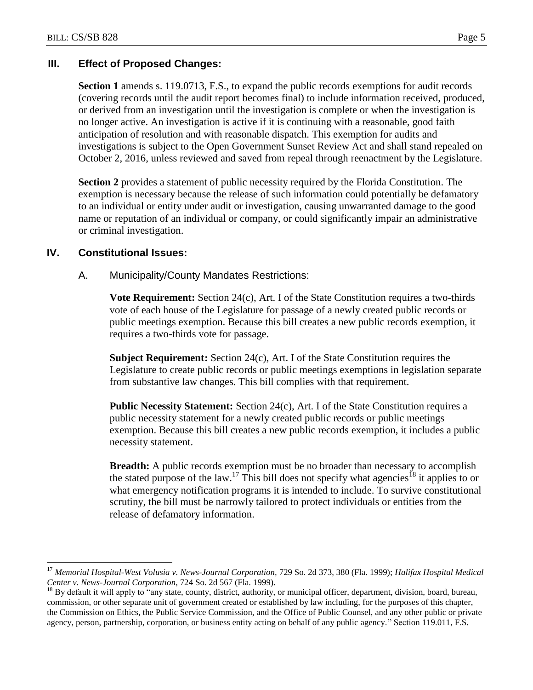# **III. Effect of Proposed Changes:**

**Section 1** amends s. 119.0713, F.S., to expand the public records exemptions for audit records (covering records until the audit report becomes final) to include information received, produced, or derived from an investigation until the investigation is complete or when the investigation is no longer active. An investigation is active if it is continuing with a reasonable, good faith anticipation of resolution and with reasonable dispatch. This exemption for audits and investigations is subject to the Open Government Sunset Review Act and shall stand repealed on October 2, 2016, unless reviewed and saved from repeal through reenactment by the Legislature.

**Section 2** provides a statement of public necessity required by the Florida Constitution. The exemption is necessary because the release of such information could potentially be defamatory to an individual or entity under audit or investigation, causing unwarranted damage to the good name or reputation of an individual or company, or could significantly impair an administrative or criminal investigation.

## **IV. Constitutional Issues:**

 $\overline{a}$ 

A. Municipality/County Mandates Restrictions:

**Vote Requirement:** Section 24(c), Art. I of the State Constitution requires a two-thirds vote of each house of the Legislature for passage of a newly created public records or public meetings exemption. Because this bill creates a new public records exemption, it requires a two-thirds vote for passage.

**Subject Requirement:** Section 24(c), Art. I of the State Constitution requires the Legislature to create public records or public meetings exemptions in legislation separate from substantive law changes. This bill complies with that requirement.

**Public Necessity Statement:** Section 24(c), Art. I of the State Constitution requires a public necessity statement for a newly created public records or public meetings exemption. Because this bill creates a new public records exemption, it includes a public necessity statement.

**Breadth:** A public records exemption must be no broader than necessary to accomplish the stated purpose of the law.<sup>17</sup> This bill does not specify what agencies<sup>18</sup> it applies to or what emergency notification programs it is intended to include. To survive constitutional scrutiny, the bill must be narrowly tailored to protect individuals or entities from the release of defamatory information.

<sup>&</sup>lt;sup>17</sup> Memorial Hospital-West Volusia v. News-Journal Corporation, 729 So. 2d 373, 380 (Fla. 1999); *Halifax Hospital Medical Center v. News-Journal Corporation,* 724 So. 2d 567 (Fla. 1999).

 $^{18}$  By default it will apply to "any state, county, district, authority, or municipal officer, department, division, board, bureau, commission, or other separate unit of government created or established by law including, for the purposes of this chapter, the Commission on Ethics, the Public Service Commission, and the Office of Public Counsel, and any other public or private agency, person, partnership, corporation, or business entity acting on behalf of any public agency." Section 119.011, F.S.